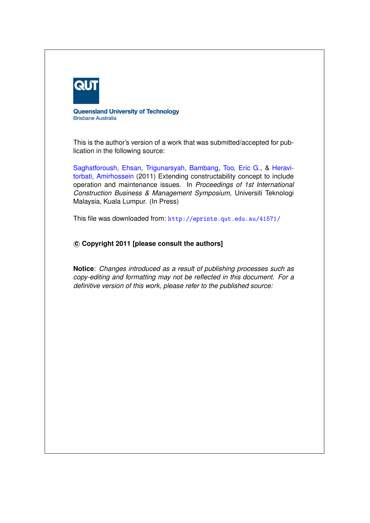

**Queensland University of Technology Brisbane Australia** 

This is the author's version of a work that was submitted/accepted for publication in the following source:

[Saghatforoush, Ehsan,](http://eprints.qut.edu.au/view/person/Saghatforoush,_Ehsan.html) [Trigunarsyah, Bambang,](http://eprints.qut.edu.au/view/person/Trigunarsyah,_Bambang.html) [Too, Eric G.,](http://eprints.qut.edu.au/view/person/Too,_Eric.html) & [Heravi](http://eprints.qut.edu.au/view/person/Heravitorbati,_Amirhossein.html)[torbati, Amirhossein](http://eprints.qut.edu.au/view/person/Heravitorbati,_Amirhossein.html) (2011) Extending constructability concept to include operation and maintenance issues. In *Proceedings of 1st International Construction Business & Management Symposium*, Universiti Teknologi Malaysia, Kuala Lumpur. (In Press)

This file was downloaded from: <http://eprints.qut.edu.au/41571/>

# **c Copyright 2011 [please consult the authors]**

**Notice**: *Changes introduced as a result of publishing processes such as copy-editing and formatting may not be reflected in this document. For a definitive version of this work, please refer to the published source:*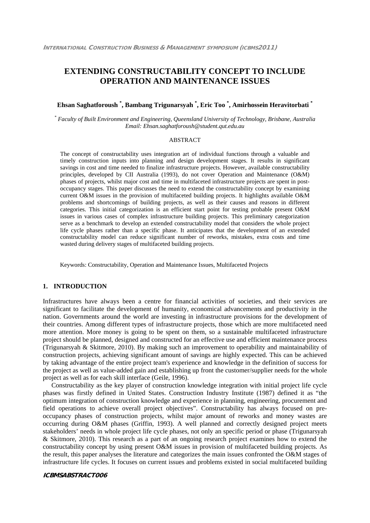# **EXTENDING CONSTRUCTABILITY CONCEPT TO INCLUDE OPERATION AND MAINTENANCE ISSUES**

# **Ehsan Saghatforoush \* , Bambang Trigunarsyah \* , Eric Too \* , Amirhossein Heravitorbati \***

*\* Faculty of Built Environment and Engineering, Queensland University of Technology, Brisbane, Australia Email: Ehsan.saghatforoush@student.qut.edu.au*

### ABSTRACT

The concept of constructability uses integration art of individual functions through a valuable and timely construction inputs into planning and design development stages. It results in significant savings in cost and time needed to finalize infrastructure projects. However, available constructability principles, developed by CII Australia (1993), do not cover Operation and Maintenance (O&M) phases of projects, whilst major cost and time in multifaceted infrastructure projects are spent in postoccupancy stages. This paper discusses the need to extend the constructability concept by examining current O&M issues in the provision of multifaceted building projects. It highlights available O&M problems and shortcomings of building projects, as well as their causes and reasons in different categories. This initial categorization is an efficient start point for testing probable present O&M issues in various cases of complex infrastructure building projects. This preliminary categorization serve as a benchmark to develop an extended constructability model that considers the whole project life cycle phases rather than a specific phase. It anticipates that the development of an extended constructability model can reduce significant number of reworks, mistakes, extra costs and time wasted during delivery stages of multifaceted building projects.

Keywords: Constructability, Operation and Maintenance Issues, Multifaceted Projects

# **1. INTRODUCTION**

Infrastructures have always been a centre for financial activities of societies, and their services are significant to facilitate the development of humanity, economical advancements and productivity in the nation. Governments around the world are investing in infrastructure provisions for the development of their countries. Among different types of infrastructure projects, those which are more multifaceted need more attention. More money is going to be spent on them, so a sustainable multifaceted infrastructure project should be planned, designed and constructed for an effective use and efficient maintenance process (Trigunarsyah & Skitmore, 2010). By making such an improvement to operability and maintainability of construction projects, achieving significant amount of savings are highly expected. This can be achieved by taking advantage of the entire project team's experience and knowledge in the definition of success for the project as well as value-added gain and establishing up front the customer/supplier needs for the whole project as well as for each skill interface (Geile, 1996).

Constructability as the key player of construction knowledge integration with initial project life cycle phases was firstly defined in United States. Construction Industry Institute (1987) defined it as "the optimum integration of construction knowledge and experience in planning, engineering, procurement and field operations to achieve overall project objectives". Constructability has always focused on preoccupancy phases of construction projects, whilst major amount of reworks and money wastes are occurring during O&M phases (Griffin, 1993). A well planned and correctly designed project meets stakeholders' needs in whole project life cycle phases, not only an specific period or phase (Trigunarsyah & Skitmore, 2010). This research as a part of an ongoing research project examines how to extend the constructability concept by using present O&M issues in provision of multifaceted building projects. As the result, this paper analyses the literature and categorizes the main issues confronted the O&M stages of infrastructure life cycles. It focuses on current issues and problems existed in social multifaceted building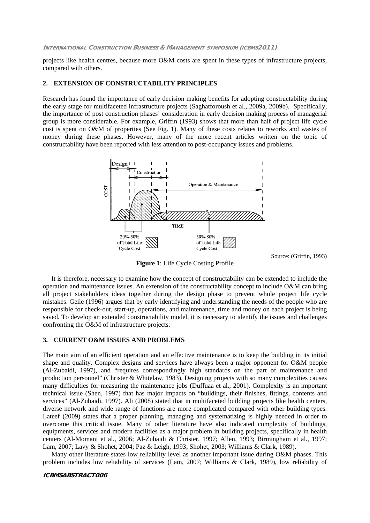projects like health centres, because more O&M costs are spent in these types of infrastructure projects, compared with others.

## **2. EXTENSION OF CONSTRUCTABILITY PRINCIPLES**

Research has found the importance of early decision making benefits for adopting constructability during the early stage for multifaceted infrastructure projects (Saghatforoush et al., 2009a, 2009b). Specifically, the importance of post construction phases' consideration in early decision making process of managerial group is more considerable. For example, Griffin (1993) shows that more than half of project life cycle cost is spent on O&M of properties (See Fig. 1). Many of these costs relates to reworks and wastes of money during these phases. However, many of the more recent articles written on the topic of constructability have been reported with less attention to post-occupancy issues and problems.



Source: (Griffin, 1993)

**Figure 1**: Life Cycle Costing Profile

It is therefore, necessary to examine how the concept of constructability can be extended to include the operation and maintenance issues. An extension of the constructability concept to include O&M can bring all project stakeholders ideas together during the design phase to prevent whole project life cycle mistakes. Geile (1996) argues that by early identifying and understanding the needs of the people who are responsible for check-out, start-up, operations, and maintenance, time and money on each project is being saved. To develop an extended constructability model, it is necessary to identify the issues and challenges confronting the O&M of infrastructure projects.

## **3. CURRENT O&M ISSUES AND PROBLEMS**

The main aim of an efficient operation and an effective maintenance is to keep the building in its initial shape and quality. Complex designs and services have always been a major opponent for O&M people (Al-Zubaidi, 1997), and "requires correspondingly high standards on the part of maintenance and production personnel" (Christer & Whitelaw, 1983). Designing projects with so many complexities causes many difficulties for measuring the maintenance jobs (Duffuaa et al., 2001). Complexity is an important technical issue (Shen, 1997) that has major impacts on "buildings, their finishes, fittings, contents and services" (Al-Zubaidi, 1997). Ali (2008) stated that in multifaceted building projects like health centers, diverse network and wide range of functions are more complicated compared with other building types. Lateef (2009) states that a proper planning, managing and systematizing is highly needed in order to overcome this critical issue. Many of other literature have also indicated complexity of buildings, equipments, services and modern facilities as a major problem in building projects, specifically in health centers (Al-Momani et al., 2006; Al-Zubaidi & Christer, 1997; Allen, 1993; Birmingham et al., 1997; Lam, 2007; Lavy & Shohet, 2004; Paz & Leigh, 1993; Shohet, 2003; Williams & Clark, 1989).

Many other literature states low reliability level as another important issue during O&M phases. This problem includes low reliability of services (Lam, 2007; Williams & Clark, 1989), low reliability of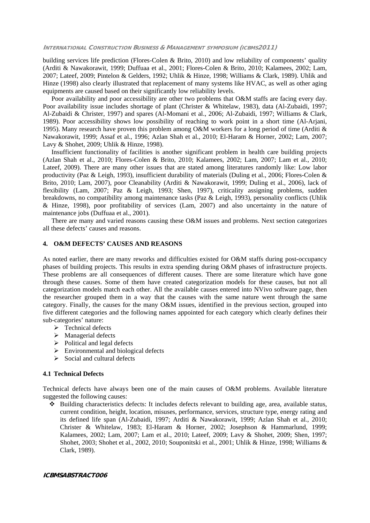building services life prediction (Flores-Colen & Brito, 2010) and low reliability of components' quality (Arditi & Nawakorawit, 1999; Duffuaa et al., 2001; Flores-Colen & Brito, 2010; Kalamees, 2002; Lam, 2007; Lateef, 2009; Pintelon & Gelders, 1992; Uhlik & Hinze, 1998; Williams & Clark, 1989). Uhlik and Hinze (1998) also clearly illustrated that replacement of many systems like HVAC, as well as other aging equipments are caused based on their significantly low reliability levels.

Poor availability and poor accessibility are other two problems that O&M staffs are facing every day. Poor availability issue includes shortage of plant (Christer & Whitelaw, 1983), data (Al-Zubaidi, 1997; Al-Zubaidi & Christer, 1997) and spares (Al-Momani et al., 2006; Al-Zubaidi, 1997; Williams & Clark, 1989). Poor accessibility shows low possibility of reaching to work point in a short time (Al-Arjani, 1995). Many research have proven this problem among O&M workers for a long period of time (Arditi & Nawakorawit, 1999; Assaf et al., 1996; Azlan Shah et al., 2010; El-Haram & Horner, 2002; Lam, 2007; Lavy & Shohet, 2009; Uhlik & Hinze, 1998).

Insufficient functionality of facilities is another significant problem in health care building projects (Azlan Shah et al., 2010; Flores-Colen & Brito, 2010; Kalamees, 2002; Lam, 2007; Lam et al., 2010; Lateef, 2009). There are many other issues that are stated among literatures randomly like: Low labor productivity (Paz & Leigh, 1993), insufficient durability of materials (Duling et al., 2006; Flores-Colen & Brito, 2010; Lam, 2007), poor Cleanability (Arditi & Nawakorawit, 1999; Duling et al., 2006), lack of flexibility (Lam, 2007; Paz & Leigh, 1993; Shen, 1997), criticality assigning problems, sudden breakdowns, no compatibility among maintenance tasks (Paz & Leigh, 1993), personality conflicts (Uhlik & Hinze, 1998), poor profitability of services (Lam, 2007) and also uncertainty in the nature of maintenance jobs (Duffuaa et al., 2001).

There are many and varied reasons causing these O&M issues and problems. Next section categorizes all these defects' causes and reasons.

# **4. O&M DEFECTS' CAUSES AND REASONS**

As noted earlier, there are many reworks and difficulties existed for O&M staffs during post-occupancy phases of building projects. This results in extra spending during O&M phases of infrastructure projects. These problems are all consequences of different causes. There are some literature which have gone through these causes. Some of them have created categorization models for these causes, but not all categorization models match each other. All the available causes entered into NVivo software page, then the researcher grouped them in a way that the causes with the same nature went through the same category. Finally, the causes for the many O&M issues, identified in the previous section, grouped into five different categories and the following names appointed for each category which clearly defines their sub-categories' nature:

- $\triangleright$  Technical defects
- $\triangleright$  Managerial defects
- $\triangleright$  Political and legal defects
- $\triangleright$  Environmental and biological defects
- $\triangleright$  Social and cultural defects

### **4.1 Technical Defects**

Technical defects have always been one of the main causes of O&M problems. Available literature suggested the following causes:

 Building characteristics defects: It includes defects relevant to building age, area, available status, current condition, height, location, misuses, performance, services, structure type, energy rating and its defined life span (Al-Zubaidi, 1997; Arditi & Nawakorawit, 1999; Azlan Shah et al., 2010; Christer & Whitelaw, 1983; El-Haram & Horner, 2002; Josephson & Hammarlund, 1999; Kalamees, 2002; Lam, 2007; Lam et al., 2010; Lateef, 2009; Lavy & Shohet, 2009; Shen, 1997; Shohet, 2003; Shohet et al., 2002, 2010; Souponitski et al., 2001; Uhlik & Hinze, 1998; Williams & Clark, 1989).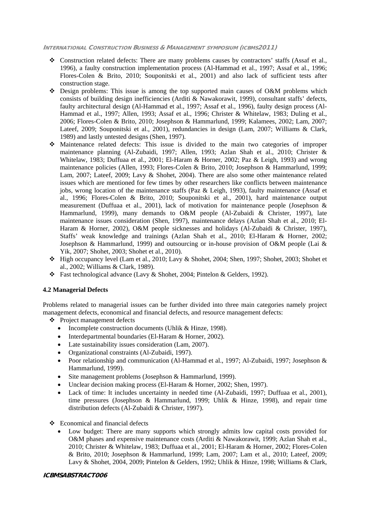- $\bullet$  Construction related defects: There are many problems causes by contractors' staffs (Assaf et al., 1996), a faulty construction implementation process (Al-Hammad et al., 1997; Assaf et al., 1996; Flores-Colen & Brito, 2010; Souponitski et al., 2001) and also lack of sufficient tests after construction stage.
- Design problems: This issue is among the top supported main causes of O&M problems which consists of building design inefficiencies (Arditi & Nawakorawit, 1999), consultant staffs' defects, faulty architectural design (Al-Hammad et al., 1997; Assaf et al., 1996), faulty design process (Al-Hammad et al., 1997; Allen, 1993; Assaf et al., 1996; Christer & Whitelaw, 1983; Duling et al., 2006; Flores-Colen & Brito, 2010; Josephson & Hammarlund, 1999; Kalamees, 2002; Lam, 2007; Lateef, 2009; Souponitski et al., 2001), redundancies in design (Lam, 2007; Williams & Clark, 1989) and lastly untested designs (Shen, 1997).
- Maintenance related defects: This issue is divided to the main two categories of improper maintenance planning (Al-Zubaidi, 1997; Allen, 1993; Azlan Shah et al., 2010; Christer & Whitelaw, 1983; Duffuaa et al., 2001; El-Haram & Horner, 2002; Paz & Leigh, 1993) and wrong maintenance policies (Allen, 1993; Flores-Colen & Brito, 2010; Josephson & Hammarlund, 1999; Lam, 2007; Lateef, 2009; Lavy & Shohet, 2004). There are also some other maintenance related issues which are mentioned for few times by other researchers like conflicts between maintenance jobs, wrong location of the maintenance staffs (Paz & Leigh, 1993), faulty maintenance (Assaf et al., 1996; Flores-Colen & Brito, 2010; Souponitski et al., 2001), hard maintenance output measurement (Duffuaa et al., 2001), lack of motivation for maintenance people (Josephson & Hammarlund, 1999), many demands to O&M people (Al-Zubaidi & Christer, 1997), late maintenance issues consideration (Shen, 1997), maintenance delays (Azlan Shah et al., 2010; El-Haram & Horner, 2002), O&M people sicknesses and holidays (Al-Zubaidi & Christer, 1997), Staffs' weak knowledge and trainings (Azlan Shah et al., 2010; El-Haram & Horner, 2002; Josephson & Hammarlund, 1999) and outsourcing or in-house provision of O&M people (Lai & Yik, 2007; Shohet, 2003; Shohet et al., 2010).
- High occupancy level (Lam et al., 2010; Lavy & Shohet, 2004; Shen, 1997; Shohet, 2003; Shohet et al., 2002; Williams & Clark, 1989).
- Fast technological advance (Lavy & Shohet, 2004; Pintelon & Gelders, 1992).

# **4.2 Managerial Defects**

Problems related to managerial issues can be further divided into three main categories namely project management defects, economical and financial defects, and resource management defects:

- Project management defects
	- Incomplete construction documents (Uhlik & Hinze, 1998).
	- Interdepartmental boundaries (El-Haram & Horner, 2002).
	- Late sustainability issues consideration (Lam, 2007).
	- Organizational constraints (Al-Zubaidi, 1997).
	- Poor relationship and communication (Al-Hammad et al., 1997; Al-Zubaidi, 1997; Josephson & Hammarlund, 1999).
	- Site management problems (Josephson & Hammarlund, 1999).
	- Unclear decision making process (El-Haram & Horner, 2002; Shen, 1997).
	- Lack of time: It includes uncertainty in needed time (Al-Zubaidi, 1997; Duffuaa et al., 2001), time pressures (Josephson & Hammarlund, 1999; Uhlik & Hinze, 1998), and repair time distribution defects (Al-Zubaidi & Christer, 1997).
- $\triangleleft$  Economical and financial defects
	- Low budget: There are many supports which strongly admits low capital costs provided for O&M phases and expensive maintenance costs (Arditi & Nawakorawit, 1999; Azlan Shah et al., 2010; Christer & Whitelaw, 1983; Duffuaa et al., 2001; El-Haram & Horner, 2002; Flores-Colen & Brito, 2010; Josephson & Hammarlund, 1999; Lam, 2007; Lam et al., 2010; Lateef, 2009; Lavy & Shohet, 2004, 2009; Pintelon & Gelders, 1992; Uhlik & Hinze, 1998; Williams & Clark,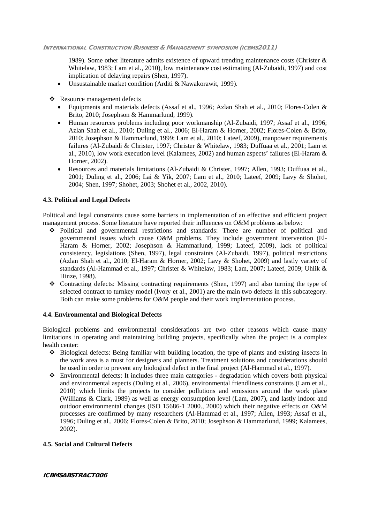1989). Some other literature admits existence of upward trending maintenance costs (Christer  $\&$ Whitelaw, 1983; Lam et al., 2010), low maintenance cost estimating (Al-Zubaidi, 1997) and cost implication of delaying repairs (Shen, 1997).

Unsustainable market condition (Arditi & Nawakorawit, 1999).

Resource management defects

- Equipments and materials defects (Assaf et al., 1996; Azlan Shah et al., 2010; Flores-Colen & Brito, 2010; Josephson & Hammarlund, 1999).
- Human resources problems including poor workmanship (Al-Zubaidi, 1997; Assaf et al., 1996; Azlan Shah et al., 2010; Duling et al., 2006; El-Haram & Horner, 2002; Flores-Colen & Brito, 2010; Josephson & Hammarlund, 1999; Lam et al., 2010; Lateef, 2009), manpower requirements failures (Al-Zubaidi & Christer, 1997; Christer & Whitelaw, 1983; Duffuaa et al., 2001; Lam et al., 2010), low work execution level (Kalamees, 2002) and human aspects' failures (El-Haram & Horner, 2002).
- Resources and materials limitations (Al-Zubaidi & Christer, 1997; Allen, 1993; Duffuaa et al., 2001; Duling et al., 2006; Lai & Yik, 2007; Lam et al., 2010; Lateef, 2009; Lavy & Shohet, 2004; Shen, 1997; Shohet, 2003; Shohet et al., 2002, 2010).

# **4.3. Political and Legal Defects**

Political and legal constraints cause some barriers in implementation of an effective and efficient project management process. Some literature have reported their influences on O&M problems as below:

- Political and governmental restrictions and standards: There are number of political and governmental issues which cause O&M problems. They include government intervention (El-Haram & Horner, 2002; Josephson & Hammarlund, 1999; Lateef, 2009), lack of political consistency, legislations (Shen, 1997), legal constraints (Al-Zubaidi, 1997), political restrictions (Azlan Shah et al., 2010; El-Haram & Horner, 2002; Lavy & Shohet, 2009) and lastly variety of standards (Al-Hammad et al., 1997; Christer & Whitelaw, 1983; Lam, 2007; Lateef, 2009; Uhlik & Hinze, 1998).
- Contracting defects: Missing contracting requirements (Shen, 1997) and also turning the type of selected contract to turnkey model (Ivory et al., 2001) are the main two defects in this subcategory. Both can make some problems for O&M people and their work implementation process.

# **4.4. Environmental and Biological Defects**

Biological problems and environmental considerations are two other reasons which cause many limitations in operating and maintaining building projects, specifically when the project is a complex health center:

- Biological defects: Being familiar with building location, the type of plants and existing insects in the work area is a must for designers and planners. Treatment solutions and considerations should be used in order to prevent any biological defect in the final project (Al-Hammad et al., 1997).
- Environmental defects: It includes three main categories degradation which covers both physical and environmental aspects (Duling et al., 2006), environmental friendliness constraints (Lam et al., 2010) which limits the projects to consider pollutions and emissions around the work place (Williams & Clark, 1989) as well as energy consumption level (Lam, 2007), and lastly indoor and outdoor environmental changes (ISO 15686-1 2000., 2000) which their negative effects on O&M processes are confirmed by many researchers (Al-Hammad et al., 1997; Allen, 1993; Assaf et al., 1996; Duling et al., 2006; Flores-Colen & Brito, 2010; Josephson & Hammarlund, 1999; Kalamees, 2002).

# **4.5. Social and Cultural Defects**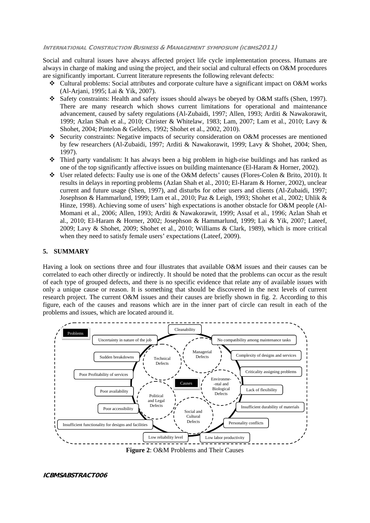Social and cultural issues have always affected project life cycle implementation process. Humans are always in charge of making and using the project, and their social and cultural effects on O&M procedures are significantly important. Current literature represents the following relevant defects:

- Cultural problems: Social attributes and corporate culture have a significant impact on O&M works (Al-Arjani, 1995; Lai & Yik, 2007).
- Safety constraints: Health and safety issues should always be obeyed by O&M staffs (Shen, 1997). There are many research which shows current limitations for operational and maintenance advancement, caused by safety regulations (Al-Zubaidi, 1997; Allen, 1993; Arditi & Nawakorawit, 1999; Azlan Shah et al., 2010; Christer & Whitelaw, 1983; Lam, 2007; Lam et al., 2010; Lavy & Shohet, 2004; Pintelon & Gelders, 1992; Shohet et al., 2002, 2010).
- Security constraints: Negative impacts of security consideration on O&M processes are mentioned by few researchers (Al-Zubaidi, 1997; Arditi & Nawakorawit, 1999; Lavy & Shohet, 2004; Shen, 1997).
- Third party vandalism: It has always been a big problem in high-rise buildings and has ranked as one of the top significantly affective issues on building maintenance (El-Haram & Horner, 2002).
- User related defects: Faulty use is one of the O&M defects' causes (Flores-Colen & Brito, 2010). It results in delays in reporting problems (Azlan Shah et al., 2010; El-Haram & Horner, 2002), unclear current and future usage (Shen, 1997), and disturbs for other users and clients (Al-Zubaidi, 1997; Josephson & Hammarlund, 1999; Lam et al., 2010; Paz & Leigh, 1993; Shohet et al., 2002; Uhlik & Hinze, 1998). Achieving some of users' high expectations is another obstacle for O&M people (Al-Momani et al., 2006; Allen, 1993; Arditi & Nawakorawit, 1999; Assaf et al., 1996; Azlan Shah et al., 2010; El-Haram & Horner, 2002; Josephson & Hammarlund, 1999; Lai & Yik, 2007; Lateef, 2009; Lavy & Shohet, 2009; Shohet et al., 2010; Williams & Clark, 1989), which is more critical when they need to satisfy female users' expectations (Lateef, 2009).

# **5. SUMMARY**

Having a look on sections three and four illustrates that available O&M issues and their causes can be correlated to each other directly or indirectly. It should be noted that the problems can occur as the result of each type of grouped defects, and there is no specific evidence that relate any of available issues with only a unique cause or reason. It is something that should be discovered in the next levels of current research project. The current O&M issues and their causes are briefly shown in fig. 2. According to this figure, each of the causes and reasons which are in the inner part of circle can result in each of the problems and issues, which are located around it.



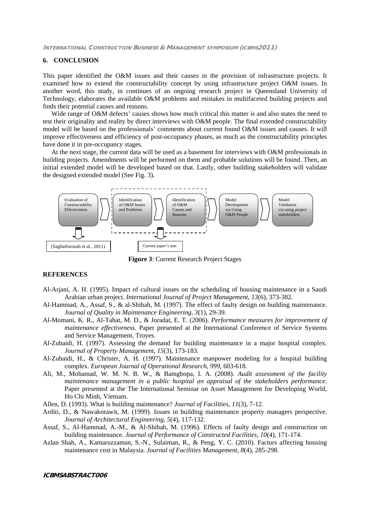### **6. CONCLUSION**

This paper identified the O&M issues and their causes in the provision of infrastructure projects. It examined how to extend the constructability concept by using infrastructure project O&M issues. In another word, this study, in continues of an ongoing research project in Queensland University of Technology, elaborates the available O&M problems and mistakes in multifaceted building projects and finds their potential causes and reasons.

Wide range of O&M defects' causes shows how much critical this matter is and also states the need to test their originality and reality by direct interviews with O&M people. The final extended constructability model will be based on the professionals' comments about current found O&M issues and causes. It will improve effectiveness and efficiency of post-occupancy phases, as much as the constructability principles have done it in pre-occupancy stages.

At the next stage, the current data will be used as a basement for interviews with O&M professionals in building projects. Amendments will be performed on them and probable solutions will be found. Then, an initial extended model will be developed based on that. Lastly, other building stakeholders will validate the designed extended model (See Fig. 3).



**Figure 3**: Current Research Project Stages

## **REFERENCES**

- Al-Arjani, A. H. (1995). Impact of cultural issues on the scheduling of housing maintenance in a Saudi Arabian urban project. *International Journal of Project Management, 13*(6), 373-382.
- Al-Hammad, A., Assaf, S., & al-Shihah, M. (1997). The effect of faulty design on building maintenance. *Journal of Quality in Maintenance Engineering, 3*(1), 29-39.
- Al-Momani, K. R., Al-Tahat, M. D., & Joradat, E. T. (2006). *Performance measures for improvement of maintenance effectiveness*. Paper presented at the International Conference of Service Systems and Service Management, Troyes.
- Al-Zubaidi, H. (1997). Assessing the demand for building maintenance in a major hospital complex. *Journal of Property Management, 15*(3), 173-183.
- Al-Zubaidi, H., & Christer, A. H. (1997). Maintenance manpower modeling for a hospital building complex. *European Journal of Operational Research, 999*, 603-618.
- Ali, M., Mohamad, W. M. N. B. W., & Bamgbopa, I. A. (2008). *Audit assessment of the facility maintenance management in a public hospital an appraisal of the stakeholders performance*. Paper presented at the The International Seminar on Asset Management for Developing World, Ho Chi Minh, Vietnam.
- Allen, D. (1993). What is building maintenance? *Journal of Facilities, 11*(3), 7-12.
- Arditi, D., & Nawakorawit, M. (1999). Issues in building maintenance property managers perspective. *Journal of Architectural Engineering, 5*(4), 117-132.
- Assaf, S., Al-Hammad, A.-M., & Al-Shihah, M. (1996). Effects of faulty design and construction on building maintenance. *Journal of Performance of Constructed Facilities, 10*(4), 171-174.
- Azlan Shah, A., Kamaruzzaman, S.-N., Sulaiman, R., & Peng, Y. C. (2010). Factors affecting housing maintenance cost in Malaysia. *Journal of Facilities Management, 8*(4), 285-298.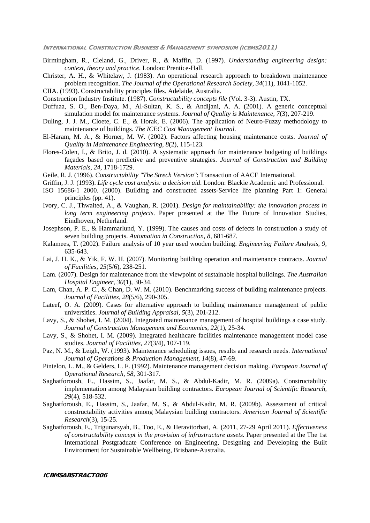- Birmingham, R., Cleland, G., Driver, R., & Maffin, D. (1997). *Understanding engineering design: context, theory and practice*. London: Prentice-Hall.
- Christer, A. H., & Whitelaw, J. (1983). An operational research approach to breakdown maintenance problem recognition. *The Journal of the Operational Research Society, 34*(11), 1041-1052.
- CIIA. (1993). Constructability principles files. Adelaide, Australia.
- Construction Industry Institute. (1987). *Constructability concepts file* (Vol. 3-3). Austin, TX.
- Duffuaa, S. O., Ben-Daya, M., Al-Sultan, K. S., & Andijani, A. A. (2001). A generic conceptual simulation model for maintenance systems. *Journal of Quality is Maintenance, 7*(3), 207-219.
- Duling, J. J. M., Cloete, C. E., & Horak, E. (2006). The application of Neuro-Fuzzy methodology to maintenance of buildings. *The ICEC Cost Management Journal*.
- El-Haram, M. A., & Horner, M. W. (2002). Factors affecting housing maintenance costs. *Journal of Quality in Maintenance Engineering, 8*(2), 115-123.
- Flores-Colen, I., & Brito, J. d. (2010). A systematic approach for maintenance budgeting of buildings façades based on predictive and preventive strategies. *Journal of Construction and Building Materials, 24*, 1718-1729.
- Geile, R. J. (1996). *Constructability "The Strech Version"*: Transaction of AACE International.
- Griffin, J. J. (1993). *Life cycle cost analysis: a decision aid*. London: Blackie Academic and Professional.
- ISO 15686-1 2000. (2000). Building and constructed assets-Service life planning Part 1: General principles (pp. 41).
- Ivory, C. J., Thwaited, A., & Vaughan, R. (2001). *Design for maintainability: the innovation process in long term engineering projects*. Paper presented at the The Future of Innovation Studies, Eindhoven, Netherland.
- Josephson, P. E., & Hammarlund, Y. (1999). The causes and costs of defects in construction a study of seven building projects. *Automation in Construction, 8*, 681-687.
- Kalamees, T. (2002). Failure analysis of 10 year used wooden building. *Engineering Failure Analysis, 9*, 635-643.
- Lai, J. H. K., & Yik, F. W. H. (2007). Monitoring building operation and maintenance contracts. *Journal of Facilities, 25*(5/6), 238-251.
- Lam. (2007). Design for maintenance from the viewpoint of sustainable hospital buildings. *The Australian Hospital Engineer, 30*(1), 30-34.
- Lam, Chan, A. P. C., & Chan, D. W. M. (2010). Benchmarking success of building maintenance projects. *Journal of Facilities, 28*(5/6), 290-305.
- Lateef, O. A. (2009). Cases for alternative approach to building maintenance management of public universities. *Journal of Building Appraisal, 5*(3), 201-212.
- Lavy, S., & Shohet, I. M. (2004). Integrated maintenance management of hospital buildings a case study. *Journal of Construction Management and Economics, 22*(1), 25-34.
- Lavy, S., & Shohet, I. M. (2009). Integrated healthcare facilities maintenance management model case studies. *Journal of Facilities, 27*(3/4), 107-119.
- Paz, N. M., & Leigh, W. (1993). Maintenance scheduling issues, results and research needs. *International Journal of Operations & Production Management, 14*(8), 47-69.
- Pintelon, L. M., & Gelders, L. F. (1992). Maintenance management decision making. *European Journal of Operational Research, 58*, 301-317.
- Saghatforoush, E., Hassim, S., Jaafar, M. S., & Abdul-Kadir, M. R. (2009a). Constructability implementation among Malaysian building contractors. *European Journal of Scientific Research, 29*(4), 518-532.
- Saghatforoush, E., Hassim, S., Jaafar, M. S., & Abdul-Kadir, M. R. (2009b). Assessment of critical constructability activities among Malaysian building contractors. *American Journal of Scientific Research*(3), 15-25.
- Saghatforoush, E., Trigunarsyah, B., Too, E., & Heravitorbati, A. (2011, 27-29 April 2011). *Effectiveness of constructability concept in the provision of infrastructure assets.* Paper presented at the The 1st International Postgraduate Conference on Engineering, Designing and Developing the Built Environment for Sustainable Wellbeing, Brisbane-Australia.